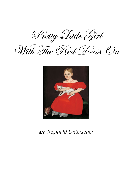Pretty Little Girl





*arr. Reginald Unterseher*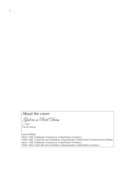## About the cover

Girl ina Red Dress

c. 1835 Oil on canvas

Ammi Phillips Born: 1788, Colebrook, Connecticut, United States of America Died: 1865, Curtisville (now Interlaken), Massachusetts, United States of AmericaAmmi Phillips Born: 1788, Colebrook, Connecticut, United States of America Died: 1865, Curtisville (now Interlaken), Massachusetts, United States of America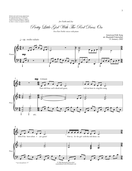Melody and words loosely adapted from Archouy and words loose y adapted room<br>the song also known as "Po' Howard"<br>Archive of American Folklore, collected<br>by John A. Lomax, as sung by Leadbelly.

*for Faith and Joy*

Pretty Little Girl With The Red Dress On

*Two-Part Treble voices with piano*

 $\epsilon$  = 66 molto *rubato* 

American Folk Song arr. Reginald Unterseher *<sup>31</sup> January <sup>2002</sup>*





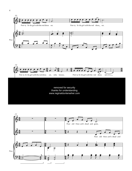

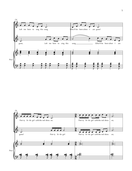